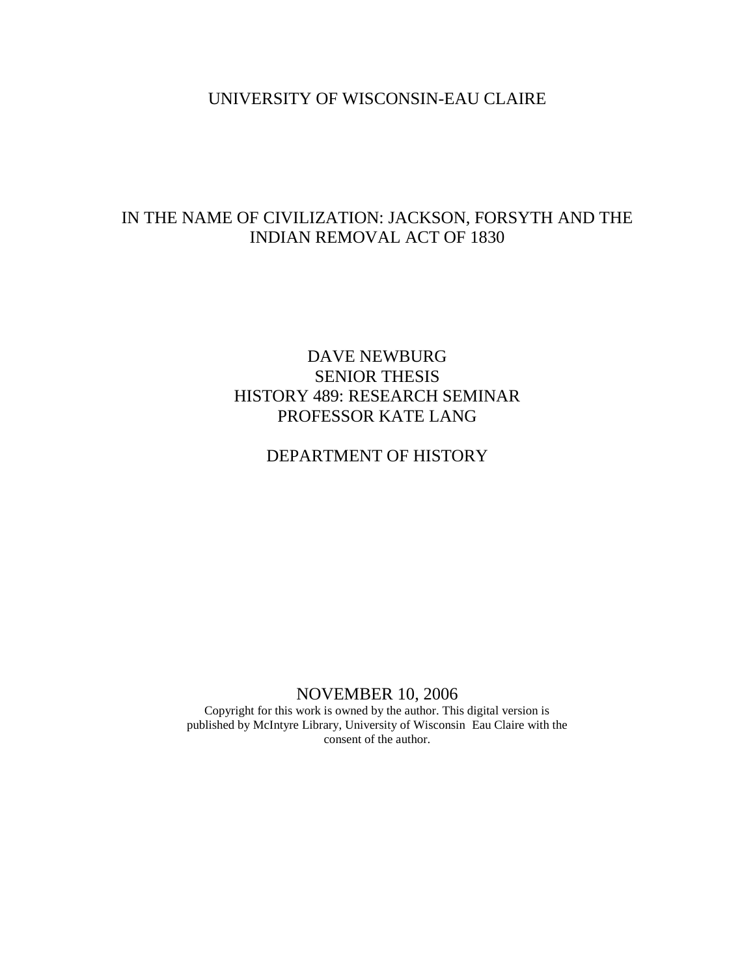# UNIVERSITY OF WISCONSIN-EAU CLAIRE

# IN THE NAME OF CIVILIZATION: JACKSON, FORSYTH AND THE INDIAN REMOVAL ACT OF 1830

# DAVE NEWBURG SENIOR THESIS HISTORY 489: RESEARCH SEMINAR PROFESSOR KATE LANG

# DEPARTMENT OF HISTORY

# NOVEMBER 10, 2006

Copyright for this work is owned by the author. This digital version is published by McIntyre Library, University of Wisconsin Eau Claire with the consent of the author.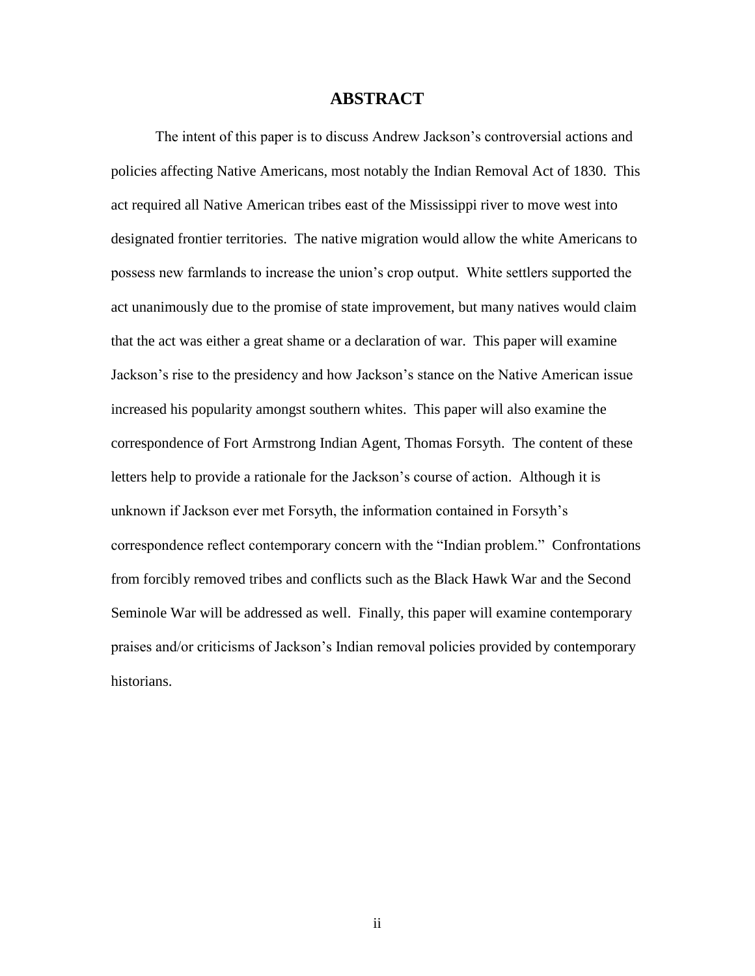# **ABSTRACT**

The intent of this paper is to discuss Andrew Jackson"s controversial actions and policies affecting Native Americans, most notably the Indian Removal Act of 1830. This act required all Native American tribes east of the Mississippi river to move west into designated frontier territories. The native migration would allow the white Americans to possess new farmlands to increase the union"s crop output. White settlers supported the act unanimously due to the promise of state improvement, but many natives would claim that the act was either a great shame or a declaration of war. This paper will examine Jackson"s rise to the presidency and how Jackson"s stance on the Native American issue increased his popularity amongst southern whites. This paper will also examine the correspondence of Fort Armstrong Indian Agent, Thomas Forsyth. The content of these letters help to provide a rationale for the Jackson's course of action. Although it is unknown if Jackson ever met Forsyth, the information contained in Forsyth"s correspondence reflect contemporary concern with the "Indian problem." Confrontations from forcibly removed tribes and conflicts such as the Black Hawk War and the Second Seminole War will be addressed as well. Finally, this paper will examine contemporary praises and/or criticisms of Jackson"s Indian removal policies provided by contemporary historians.

ii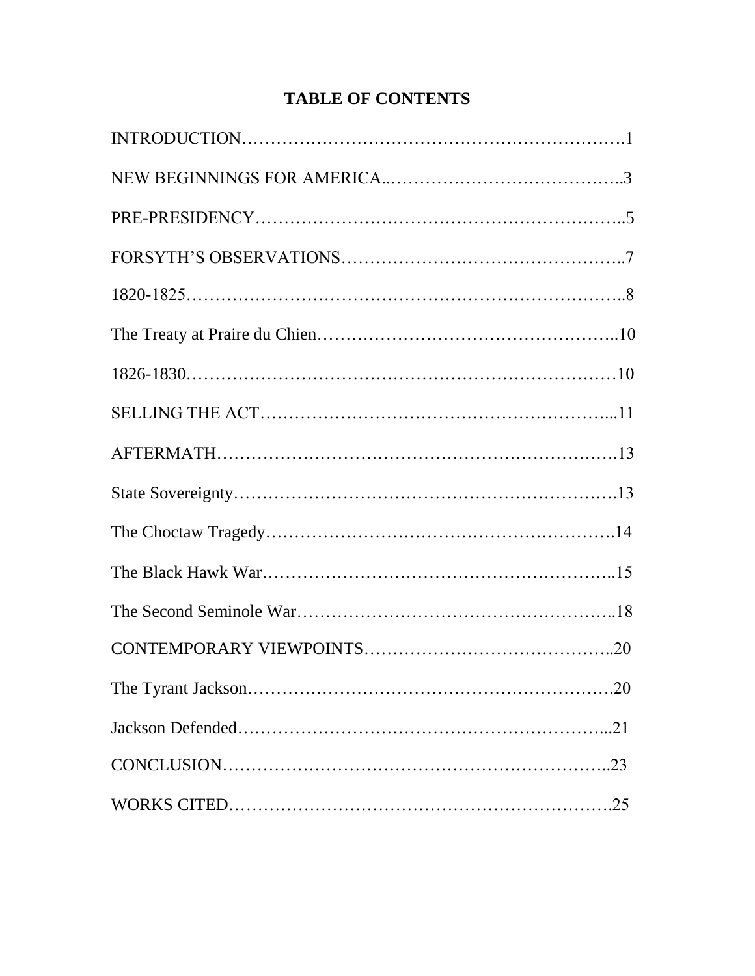# **TABLE OF CONTENTS**

| .20 |
|-----|
|     |
|     |
|     |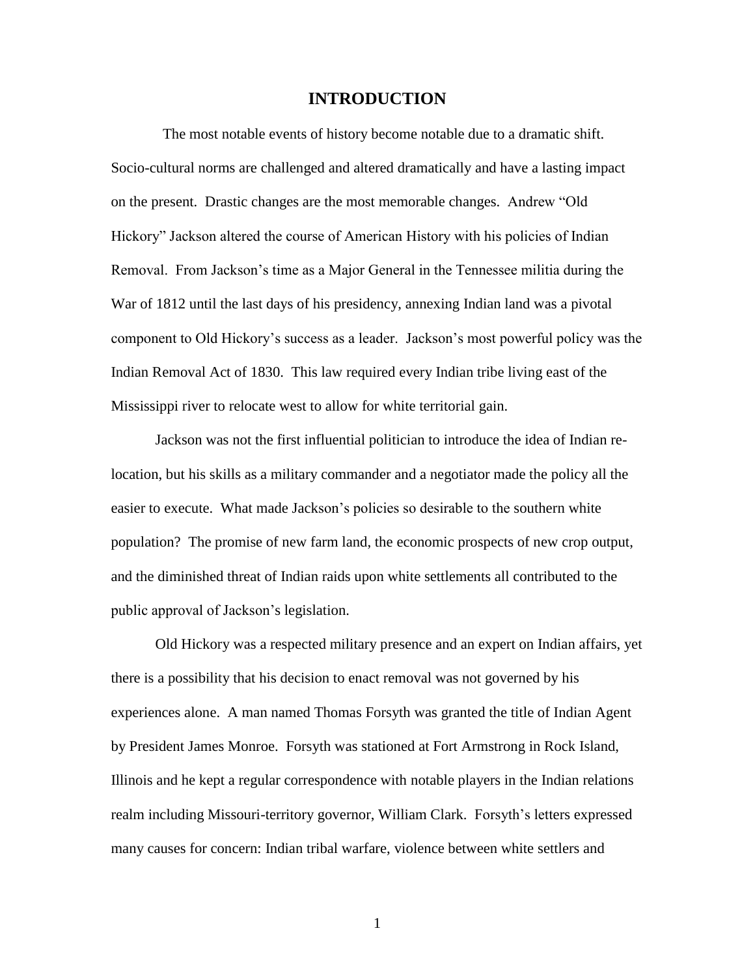## **INTRODUCTION**

 The most notable events of history become notable due to a dramatic shift. Socio-cultural norms are challenged and altered dramatically and have a lasting impact on the present. Drastic changes are the most memorable changes. Andrew "Old Hickory" Jackson altered the course of American History with his policies of Indian Removal. From Jackson"s time as a Major General in the Tennessee militia during the War of 1812 until the last days of his presidency, annexing Indian land was a pivotal component to Old Hickory"s success as a leader. Jackson"s most powerful policy was the Indian Removal Act of 1830. This law required every Indian tribe living east of the Mississippi river to relocate west to allow for white territorial gain.

Jackson was not the first influential politician to introduce the idea of Indian relocation, but his skills as a military commander and a negotiator made the policy all the easier to execute. What made Jackson"s policies so desirable to the southern white population? The promise of new farm land, the economic prospects of new crop output, and the diminished threat of Indian raids upon white settlements all contributed to the public approval of Jackson"s legislation.

Old Hickory was a respected military presence and an expert on Indian affairs, yet there is a possibility that his decision to enact removal was not governed by his experiences alone. A man named Thomas Forsyth was granted the title of Indian Agent by President James Monroe. Forsyth was stationed at Fort Armstrong in Rock Island, Illinois and he kept a regular correspondence with notable players in the Indian relations realm including Missouri-territory governor, William Clark. Forsyth"s letters expressed many causes for concern: Indian tribal warfare, violence between white settlers and

1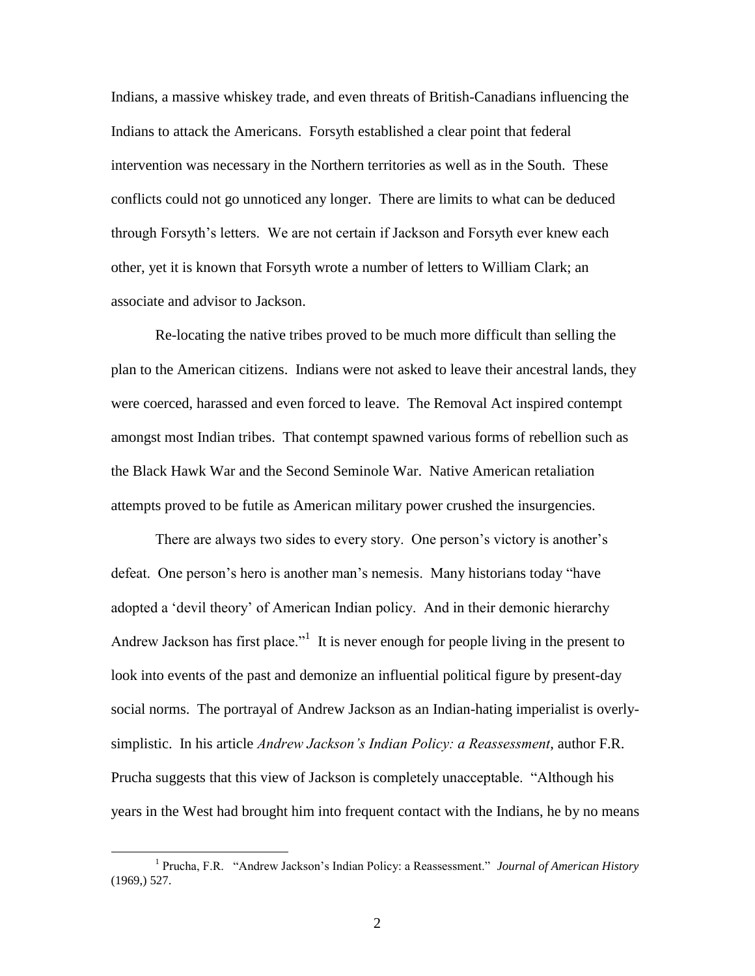Indians, a massive whiskey trade, and even threats of British-Canadians influencing the Indians to attack the Americans. Forsyth established a clear point that federal intervention was necessary in the Northern territories as well as in the South. These conflicts could not go unnoticed any longer. There are limits to what can be deduced through Forsyth"s letters. We are not certain if Jackson and Forsyth ever knew each other, yet it is known that Forsyth wrote a number of letters to William Clark; an associate and advisor to Jackson.

Re-locating the native tribes proved to be much more difficult than selling the plan to the American citizens. Indians were not asked to leave their ancestral lands, they were coerced, harassed and even forced to leave. The Removal Act inspired contempt amongst most Indian tribes. That contempt spawned various forms of rebellion such as the Black Hawk War and the Second Seminole War. Native American retaliation attempts proved to be futile as American military power crushed the insurgencies.

There are always two sides to every story. One person"s victory is another"s defeat. One person's hero is another man's nemesis. Many historians today "have adopted a "devil theory" of American Indian policy. And in their demonic hierarchy Andrew Jackson has first place.<sup>"1</sup> It is never enough for people living in the present to look into events of the past and demonize an influential political figure by present-day social norms. The portrayal of Andrew Jackson as an Indian-hating imperialist is overlysimplistic. In his article *Andrew Jackson's Indian Policy: a Reassessment*, author F.R. Prucha suggests that this view of Jackson is completely unacceptable. "Although his years in the West had brought him into frequent contact with the Indians, he by no means

<sup>&</sup>lt;sup>1</sup> Prucha, F.R. "Andrew Jackson's Indian Policy: a Reassessment." *Journal of American History* (1969,) 527.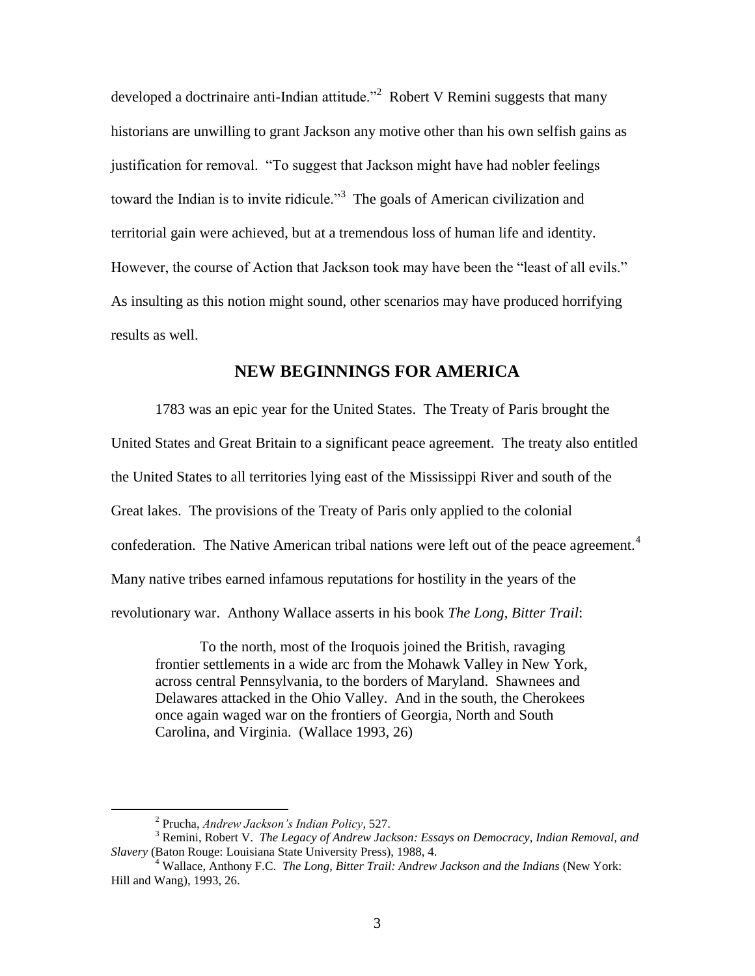developed a doctrinaire anti-Indian attitude.<sup>32</sup> Robert V Remini suggests that many historians are unwilling to grant Jackson any motive other than his own selfish gains as justification for removal. "To suggest that Jackson might have had nobler feelings toward the Indian is to invite ridicule.<sup>3</sup> The goals of American civilization and territorial gain were achieved, but at a tremendous loss of human life and identity. However, the course of Action that Jackson took may have been the "least of all evils." As insulting as this notion might sound, other scenarios may have produced horrifying results as well.

# **NEW BEGINNINGS FOR AMERICA**

1783 was an epic year for the United States. The Treaty of Paris brought the United States and Great Britain to a significant peace agreement. The treaty also entitled the United States to all territories lying east of the Mississippi River and south of the Great lakes. The provisions of the Treaty of Paris only applied to the colonial confederation. The Native American tribal nations were left out of the peace agreement.<sup>4</sup> Many native tribes earned infamous reputations for hostility in the years of the revolutionary war. Anthony Wallace asserts in his book *The Long, Bitter Trail*:

To the north, most of the Iroquois joined the British, ravaging frontier settlements in a wide arc from the Mohawk Valley in New York, across central Pennsylvania, to the borders of Maryland. Shawnees and Delawares attacked in the Ohio Valley. And in the south, the Cherokees once again waged war on the frontiers of Georgia, North and South Carolina, and Virginia. (Wallace 1993, 26)

<sup>2</sup> Prucha, *Andrew Jackson's Indian Policy*, 527.

<sup>3</sup> Remini, Robert V. *The Legacy of Andrew Jackson: Essays on Democracy, Indian Removal, and Slavery* (Baton Rouge: Louisiana State University Press), 1988, 4.

<sup>4</sup> Wallace, Anthony F.C. *The Long, Bitter Trail: Andrew Jackson and the Indians* (New York: Hill and Wang), 1993, 26.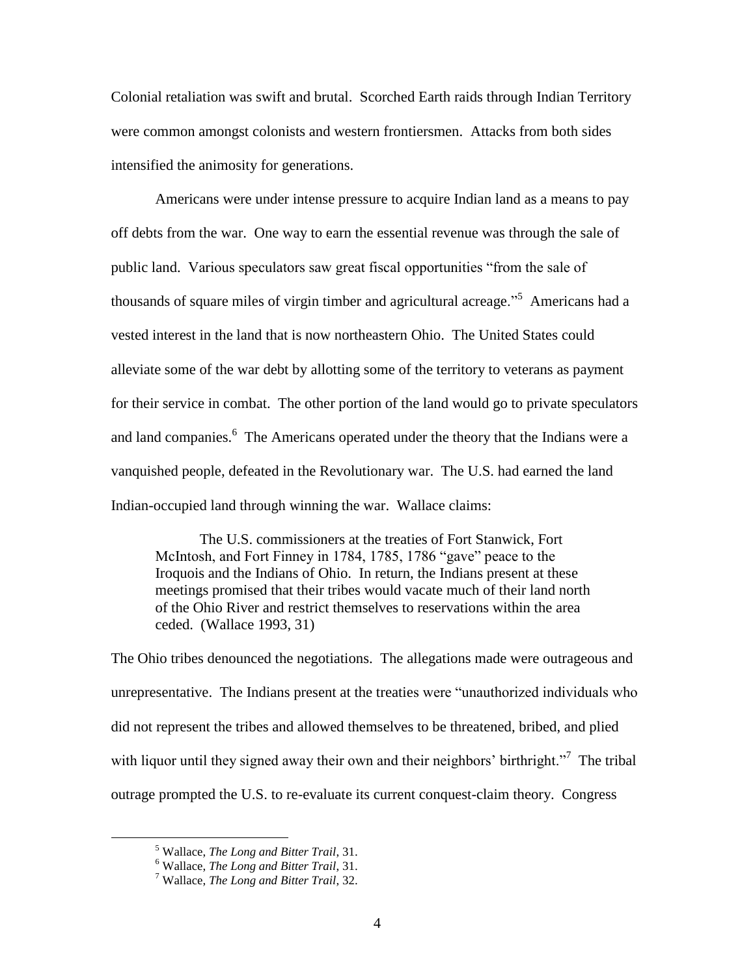Colonial retaliation was swift and brutal. Scorched Earth raids through Indian Territory were common amongst colonists and western frontiersmen. Attacks from both sides intensified the animosity for generations.

Americans were under intense pressure to acquire Indian land as a means to pay off debts from the war. One way to earn the essential revenue was through the sale of public land. Various speculators saw great fiscal opportunities "from the sale of thousands of square miles of virgin timber and agricultural acreage."<sup>5</sup> Americans had a vested interest in the land that is now northeastern Ohio. The United States could alleviate some of the war debt by allotting some of the territory to veterans as payment for their service in combat. The other portion of the land would go to private speculators and land companies.<sup>6</sup> The Americans operated under the theory that the Indians were a vanquished people, defeated in the Revolutionary war. The U.S. had earned the land Indian-occupied land through winning the war. Wallace claims:

The U.S. commissioners at the treaties of Fort Stanwick, Fort McIntosh, and Fort Finney in 1784, 1785, 1786 "gave" peace to the Iroquois and the Indians of Ohio. In return, the Indians present at these meetings promised that their tribes would vacate much of their land north of the Ohio River and restrict themselves to reservations within the area ceded. (Wallace 1993, 31)

The Ohio tribes denounced the negotiations. The allegations made were outrageous and unrepresentative. The Indians present at the treaties were "unauthorized individuals who did not represent the tribes and allowed themselves to be threatened, bribed, and plied with liquor until they signed away their own and their neighbors' birthright."<sup>7</sup> The tribal outrage prompted the U.S. to re-evaluate its current conquest-claim theory. Congress

<sup>5</sup> Wallace, *The Long and Bitter Trail*, 31.

<sup>6</sup> Wallace, *The Long and Bitter Trail*, 31.

<sup>7</sup> Wallace, *The Long and Bitter Trail*, 32.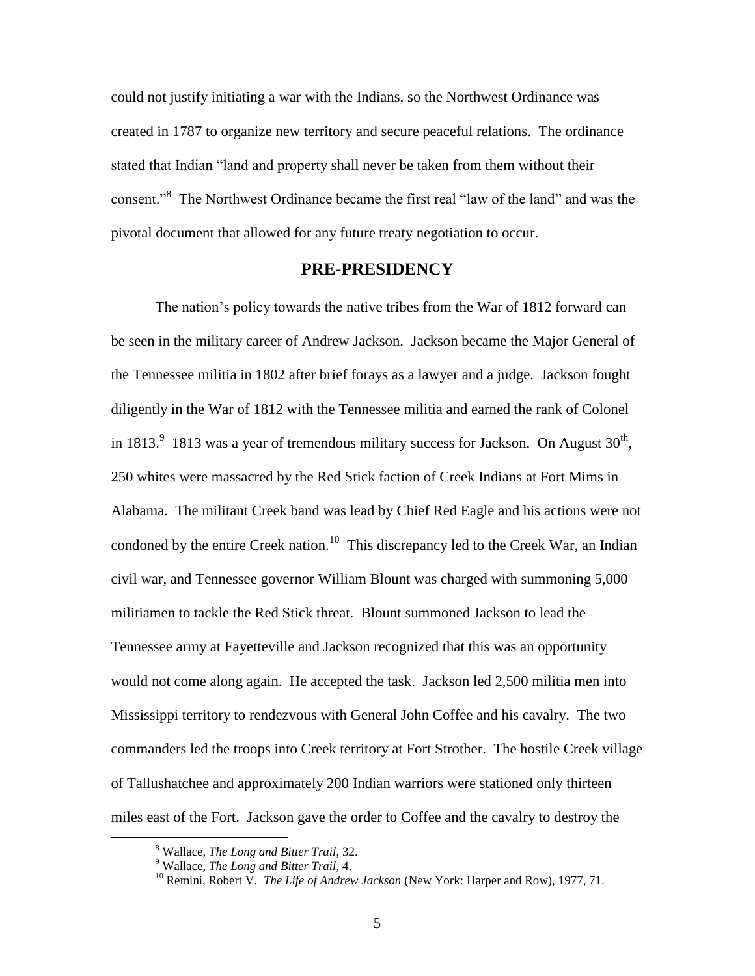could not justify initiating a war with the Indians, so the Northwest Ordinance was created in 1787 to organize new territory and secure peaceful relations. The ordinance stated that Indian "land and property shall never be taken from them without their consent."<sup>8</sup> The Northwest Ordinance became the first real "law of the land" and was the pivotal document that allowed for any future treaty negotiation to occur.

# **PRE-PRESIDENCY**

The nation"s policy towards the native tribes from the War of 1812 forward can be seen in the military career of Andrew Jackson. Jackson became the Major General of the Tennessee militia in 1802 after brief forays as a lawyer and a judge. Jackson fought diligently in the War of 1812 with the Tennessee militia and earned the rank of Colonel in 1813. $9$  1813 was a year of tremendous military success for Jackson. On August  $30<sup>th</sup>$ , 250 whites were massacred by the Red Stick faction of Creek Indians at Fort Mims in Alabama. The militant Creek band was lead by Chief Red Eagle and his actions were not condoned by the entire Creek nation.<sup>10</sup> This discrepancy led to the Creek War, an Indian civil war, and Tennessee governor William Blount was charged with summoning 5,000 militiamen to tackle the Red Stick threat. Blount summoned Jackson to lead the Tennessee army at Fayetteville and Jackson recognized that this was an opportunity would not come along again. He accepted the task. Jackson led 2,500 militia men into Mississippi territory to rendezvous with General John Coffee and his cavalry. The two commanders led the troops into Creek territory at Fort Strother. The hostile Creek village of Tallushatchee and approximately 200 Indian warriors were stationed only thirteen miles east of the Fort. Jackson gave the order to Coffee and the cavalry to destroy the

<sup>8</sup> Wallace, *The Long and Bitter Trail*, 32.

<sup>9</sup> Wallace, *The Long and Bitter Trail*, 4.

<sup>&</sup>lt;sup>10</sup> Remini, Robert V. *The Life of Andrew Jackson* (New York: Harper and Row), 1977, 71.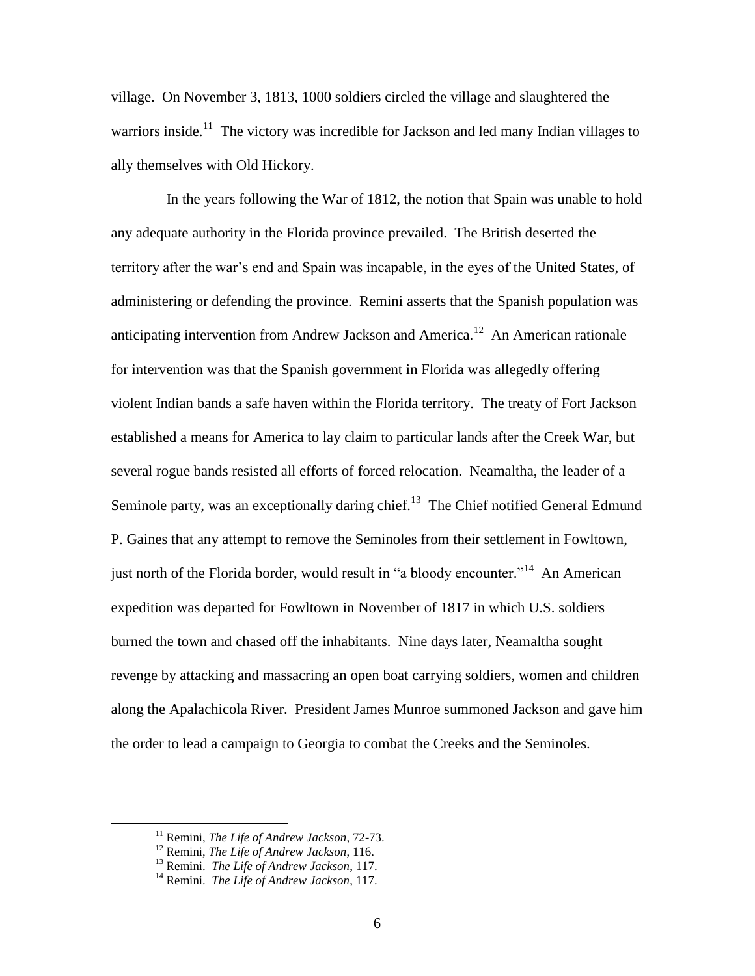village. On November 3, 1813, 1000 soldiers circled the village and slaughtered the warriors inside.<sup>11</sup> The victory was incredible for Jackson and led many Indian villages to ally themselves with Old Hickory.

 In the years following the War of 1812, the notion that Spain was unable to hold any adequate authority in the Florida province prevailed. The British deserted the territory after the war"s end and Spain was incapable, in the eyes of the United States, of administering or defending the province. Remini asserts that the Spanish population was anticipating intervention from Andrew Jackson and America.<sup>12</sup> An American rationale for intervention was that the Spanish government in Florida was allegedly offering violent Indian bands a safe haven within the Florida territory. The treaty of Fort Jackson established a means for America to lay claim to particular lands after the Creek War, but several rogue bands resisted all efforts of forced relocation. Neamaltha, the leader of a Seminole party, was an exceptionally daring chief.<sup>13</sup> The Chief notified General Edmund P. Gaines that any attempt to remove the Seminoles from their settlement in Fowltown, just north of the Florida border, would result in "a bloody encounter."<sup>14</sup> An American expedition was departed for Fowltown in November of 1817 in which U.S. soldiers burned the town and chased off the inhabitants. Nine days later, Neamaltha sought revenge by attacking and massacring an open boat carrying soldiers, women and children along the Apalachicola River. President James Munroe summoned Jackson and gave him the order to lead a campaign to Georgia to combat the Creeks and the Seminoles.

<sup>11</sup> Remini, *The Life of Andrew Jackson*, 72-73.

<sup>12</sup> Remini, *The Life of Andrew Jackson*, 116.

<sup>13</sup> Remini. *The Life of Andrew Jackson*, 117.

<sup>14</sup> Remini. *The Life of Andrew Jackson*, 117.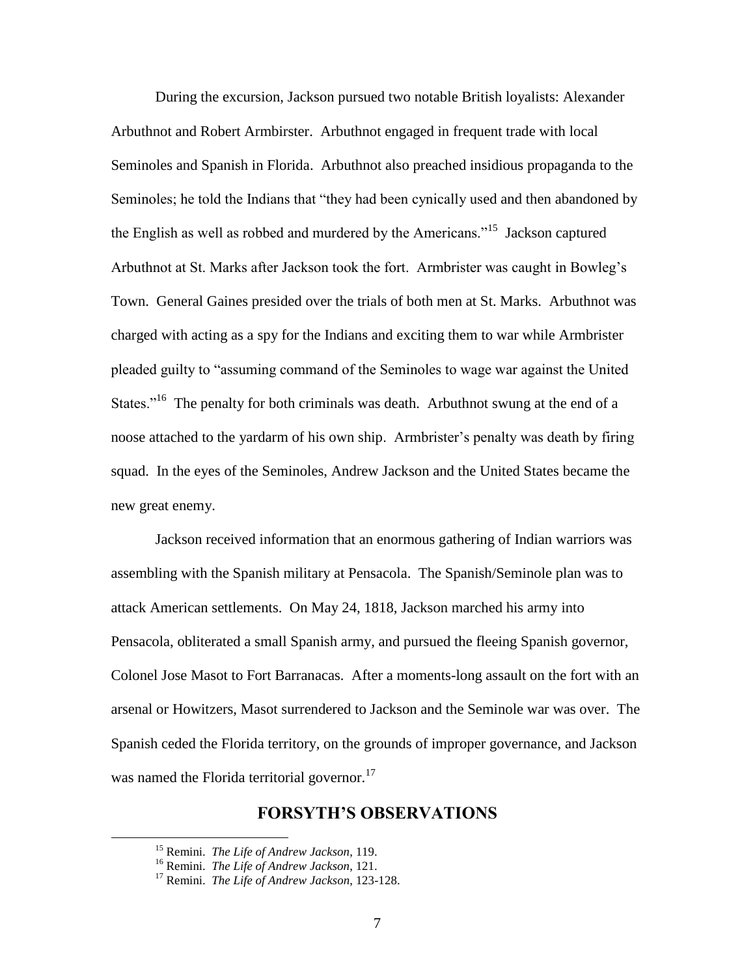During the excursion, Jackson pursued two notable British loyalists: Alexander Arbuthnot and Robert Armbirster. Arbuthnot engaged in frequent trade with local Seminoles and Spanish in Florida. Arbuthnot also preached insidious propaganda to the Seminoles; he told the Indians that "they had been cynically used and then abandoned by the English as well as robbed and murdered by the Americans."<sup>15</sup> Jackson captured Arbuthnot at St. Marks after Jackson took the fort. Armbrister was caught in Bowleg"s Town. General Gaines presided over the trials of both men at St. Marks. Arbuthnot was charged with acting as a spy for the Indians and exciting them to war while Armbrister pleaded guilty to "assuming command of the Seminoles to wage war against the United States."<sup>16</sup> The penalty for both criminals was death. Arbuthnot swung at the end of a noose attached to the yardarm of his own ship. Armbrister's penalty was death by firing squad. In the eyes of the Seminoles, Andrew Jackson and the United States became the new great enemy.

Jackson received information that an enormous gathering of Indian warriors was assembling with the Spanish military at Pensacola. The Spanish/Seminole plan was to attack American settlements. On May 24, 1818, Jackson marched his army into Pensacola, obliterated a small Spanish army, and pursued the fleeing Spanish governor, Colonel Jose Masot to Fort Barranacas. After a moments-long assault on the fort with an arsenal or Howitzers, Masot surrendered to Jackson and the Seminole war was over. The Spanish ceded the Florida territory, on the grounds of improper governance, and Jackson was named the Florida territorial governor.<sup>17</sup>

# **FORSYTH'S OBSERVATIONS**

<sup>15</sup> Remini. *The Life of Andrew Jackson*, 119.

<sup>16</sup> Remini. *The Life of Andrew Jackson*, 121.

<sup>17</sup> Remini. *The Life of Andrew Jackson*, 123-128.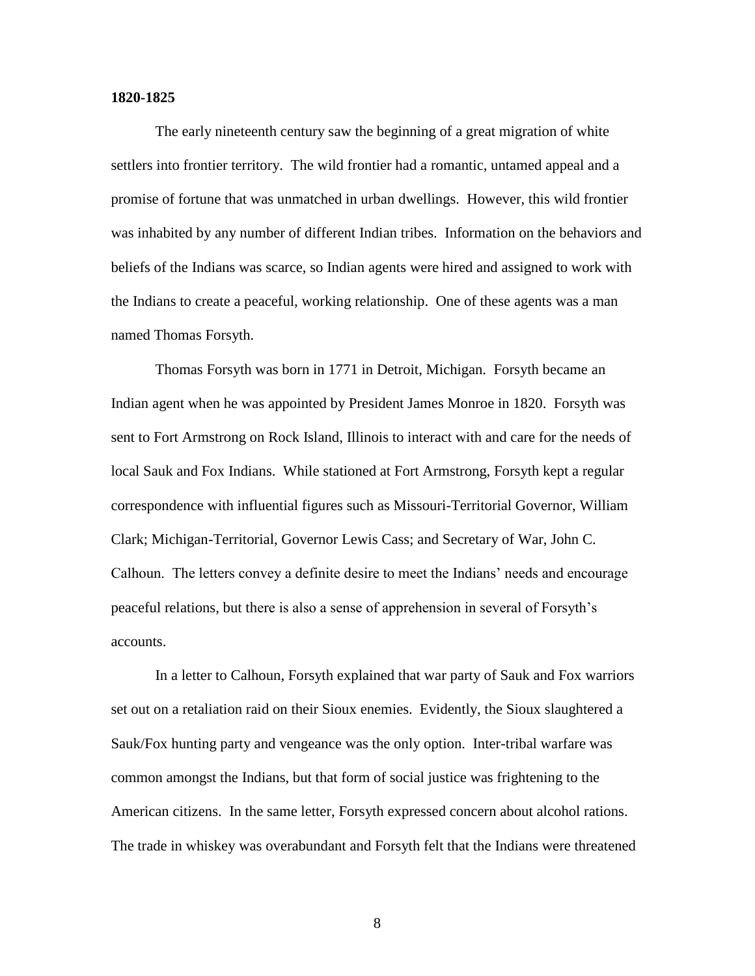#### **1820-1825**

The early nineteenth century saw the beginning of a great migration of white settlers into frontier territory. The wild frontier had a romantic, untamed appeal and a promise of fortune that was unmatched in urban dwellings. However, this wild frontier was inhabited by any number of different Indian tribes. Information on the behaviors and beliefs of the Indians was scarce, so Indian agents were hired and assigned to work with the Indians to create a peaceful, working relationship. One of these agents was a man named Thomas Forsyth.

Thomas Forsyth was born in 1771 in Detroit, Michigan. Forsyth became an Indian agent when he was appointed by President James Monroe in 1820. Forsyth was sent to Fort Armstrong on Rock Island, Illinois to interact with and care for the needs of local Sauk and Fox Indians. While stationed at Fort Armstrong, Forsyth kept a regular correspondence with influential figures such as Missouri-Territorial Governor, William Clark; Michigan-Territorial, Governor Lewis Cass; and Secretary of War, John C. Calhoun. The letters convey a definite desire to meet the Indians" needs and encourage peaceful relations, but there is also a sense of apprehension in several of Forsyth"s accounts.

In a letter to Calhoun, Forsyth explained that war party of Sauk and Fox warriors set out on a retaliation raid on their Sioux enemies. Evidently, the Sioux slaughtered a Sauk/Fox hunting party and vengeance was the only option. Inter-tribal warfare was common amongst the Indians, but that form of social justice was frightening to the American citizens. In the same letter, Forsyth expressed concern about alcohol rations. The trade in whiskey was overabundant and Forsyth felt that the Indians were threatened

8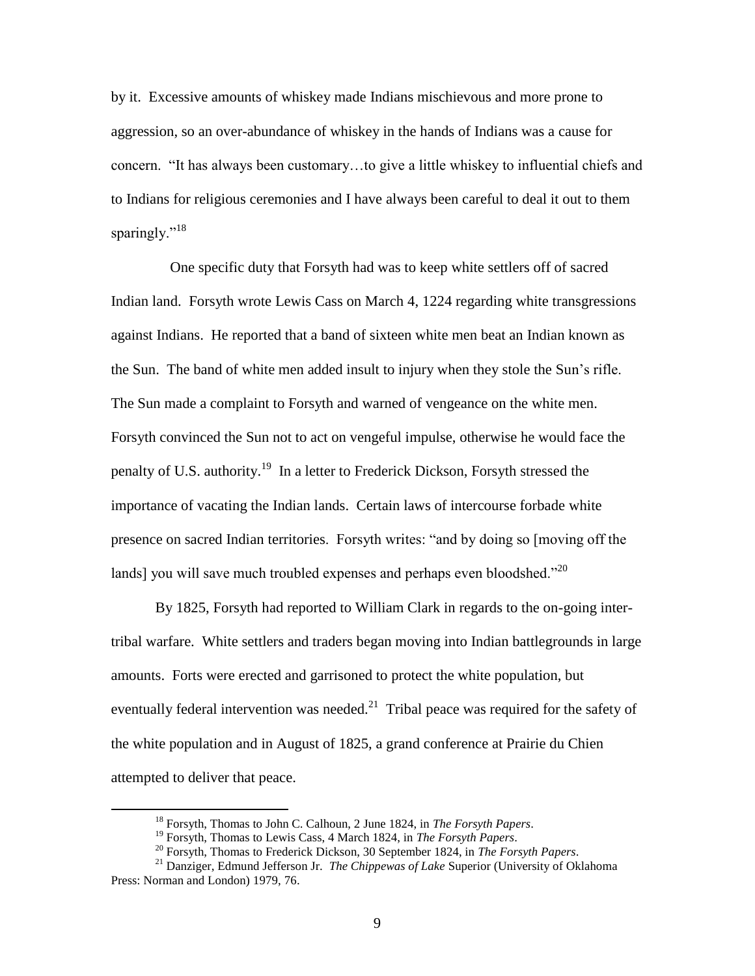by it. Excessive amounts of whiskey made Indians mischievous and more prone to aggression, so an over-abundance of whiskey in the hands of Indians was a cause for concern. "It has always been customary…to give a little whiskey to influential chiefs and to Indians for religious ceremonies and I have always been careful to deal it out to them sparingly."<sup>18</sup>

 One specific duty that Forsyth had was to keep white settlers off of sacred Indian land. Forsyth wrote Lewis Cass on March 4, 1224 regarding white transgressions against Indians. He reported that a band of sixteen white men beat an Indian known as the Sun. The band of white men added insult to injury when they stole the Sun"s rifle. The Sun made a complaint to Forsyth and warned of vengeance on the white men. Forsyth convinced the Sun not to act on vengeful impulse, otherwise he would face the penalty of U.S. authority.<sup>19</sup> In a letter to Frederick Dickson, Forsyth stressed the importance of vacating the Indian lands. Certain laws of intercourse forbade white presence on sacred Indian territories. Forsyth writes: "and by doing so [moving off the lands] you will save much troubled expenses and perhaps even bloodshed."<sup>20</sup>

By 1825, Forsyth had reported to William Clark in regards to the on-going intertribal warfare. White settlers and traders began moving into Indian battlegrounds in large amounts. Forts were erected and garrisoned to protect the white population, but eventually federal intervention was needed.<sup>21</sup> Tribal peace was required for the safety of the white population and in August of 1825, a grand conference at Prairie du Chien attempted to deliver that peace.

<sup>18</sup> Forsyth, Thomas to John C. Calhoun, 2 June 1824, in *The Forsyth Papers*.

<sup>19</sup> Forsyth, Thomas to Lewis Cass, 4 March 1824, in *The Forsyth Papers*.

<sup>20</sup> Forsyth, Thomas to Frederick Dickson, 30 September 1824, in *The Forsyth Papers*.

<sup>21</sup> Danziger, Edmund Jefferson Jr. *The Chippewas of Lake* Superior (University of Oklahoma Press: Norman and London) 1979, 76.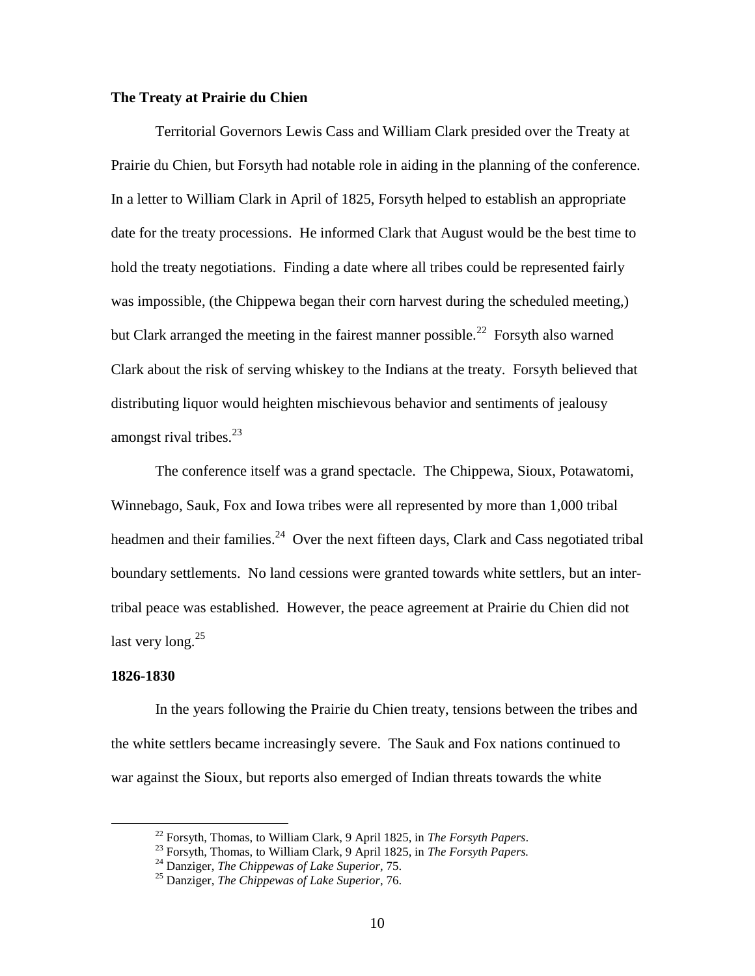## **The Treaty at Prairie du Chien**

Territorial Governors Lewis Cass and William Clark presided over the Treaty at Prairie du Chien, but Forsyth had notable role in aiding in the planning of the conference. In a letter to William Clark in April of 1825, Forsyth helped to establish an appropriate date for the treaty processions. He informed Clark that August would be the best time to hold the treaty negotiations. Finding a date where all tribes could be represented fairly was impossible, (the Chippewa began their corn harvest during the scheduled meeting,) but Clark arranged the meeting in the fairest manner possible.<sup>22</sup> Forsyth also warned Clark about the risk of serving whiskey to the Indians at the treaty. Forsyth believed that distributing liquor would heighten mischievous behavior and sentiments of jealousy amongst rival tribes. $^{23}$ 

The conference itself was a grand spectacle. The Chippewa, Sioux, Potawatomi, Winnebago, Sauk, Fox and Iowa tribes were all represented by more than 1,000 tribal headmen and their families.<sup>24</sup> Over the next fifteen days, Clark and Cass negotiated tribal boundary settlements. No land cessions were granted towards white settlers, but an intertribal peace was established. However, the peace agreement at Prairie du Chien did not last very long. $25$ 

#### **1826-1830**

 $\overline{a}$ 

In the years following the Prairie du Chien treaty, tensions between the tribes and the white settlers became increasingly severe. The Sauk and Fox nations continued to war against the Sioux, but reports also emerged of Indian threats towards the white

<sup>22</sup> Forsyth, Thomas, to William Clark, 9 April 1825, in *The Forsyth Papers*.

<sup>23</sup> Forsyth, Thomas, to William Clark, 9 April 1825, in *The Forsyth Papers.*

<sup>24</sup> Danziger, *The Chippewas of Lake Superior*, 75.

<sup>25</sup> Danziger, *The Chippewas of Lake Superior*, 76.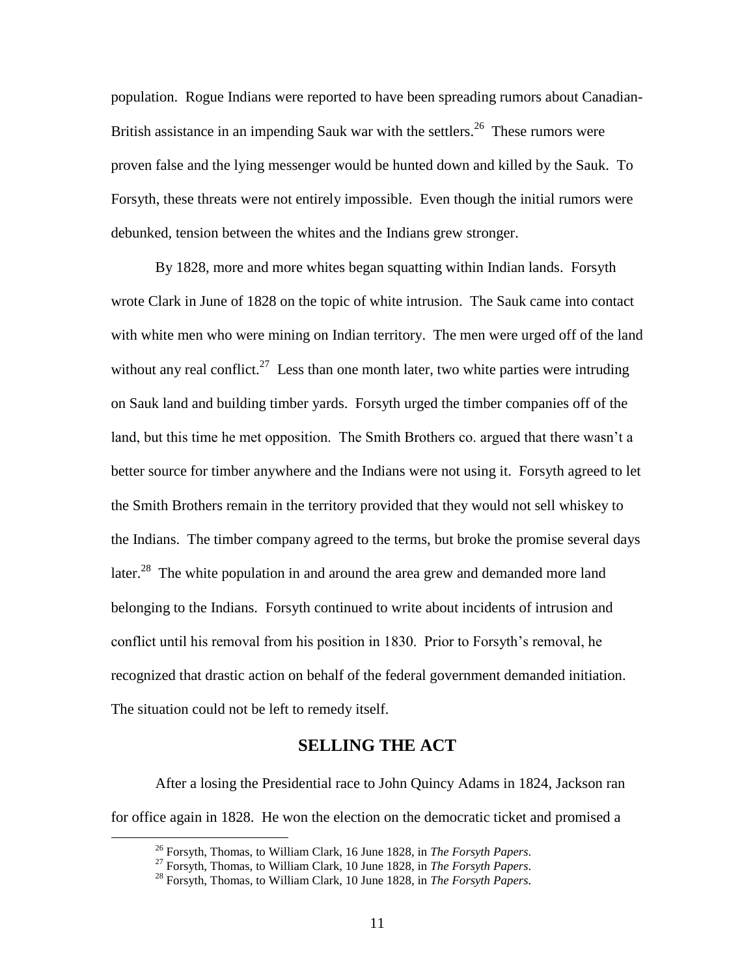population. Rogue Indians were reported to have been spreading rumors about Canadian-British assistance in an impending Sauk war with the settlers.<sup>26</sup> These rumors were proven false and the lying messenger would be hunted down and killed by the Sauk. To Forsyth, these threats were not entirely impossible. Even though the initial rumors were debunked, tension between the whites and the Indians grew stronger.

By 1828, more and more whites began squatting within Indian lands. Forsyth wrote Clark in June of 1828 on the topic of white intrusion. The Sauk came into contact with white men who were mining on Indian territory. The men were urged off of the land without any real conflict.<sup>27</sup> Less than one month later, two white parties were intruding on Sauk land and building timber yards. Forsyth urged the timber companies off of the land, but this time he met opposition. The Smith Brothers co. argued that there wasn't a better source for timber anywhere and the Indians were not using it. Forsyth agreed to let the Smith Brothers remain in the territory provided that they would not sell whiskey to the Indians. The timber company agreed to the terms, but broke the promise several days later.<sup>28</sup> The white population in and around the area grew and demanded more land belonging to the Indians. Forsyth continued to write about incidents of intrusion and conflict until his removal from his position in 1830. Prior to Forsyth"s removal, he recognized that drastic action on behalf of the federal government demanded initiation. The situation could not be left to remedy itself.

# **SELLING THE ACT**

After a losing the Presidential race to John Quincy Adams in 1824, Jackson ran for office again in 1828. He won the election on the democratic ticket and promised a

<sup>26</sup> Forsyth, Thomas, to William Clark, 16 June 1828, in *The Forsyth Papers*.

<sup>27</sup> Forsyth, Thomas, to William Clark, 10 June 1828, in *The Forsyth Papers*.

<sup>28</sup> Forsyth, Thomas, to William Clark, 10 June 1828, in *The Forsyth Papers*.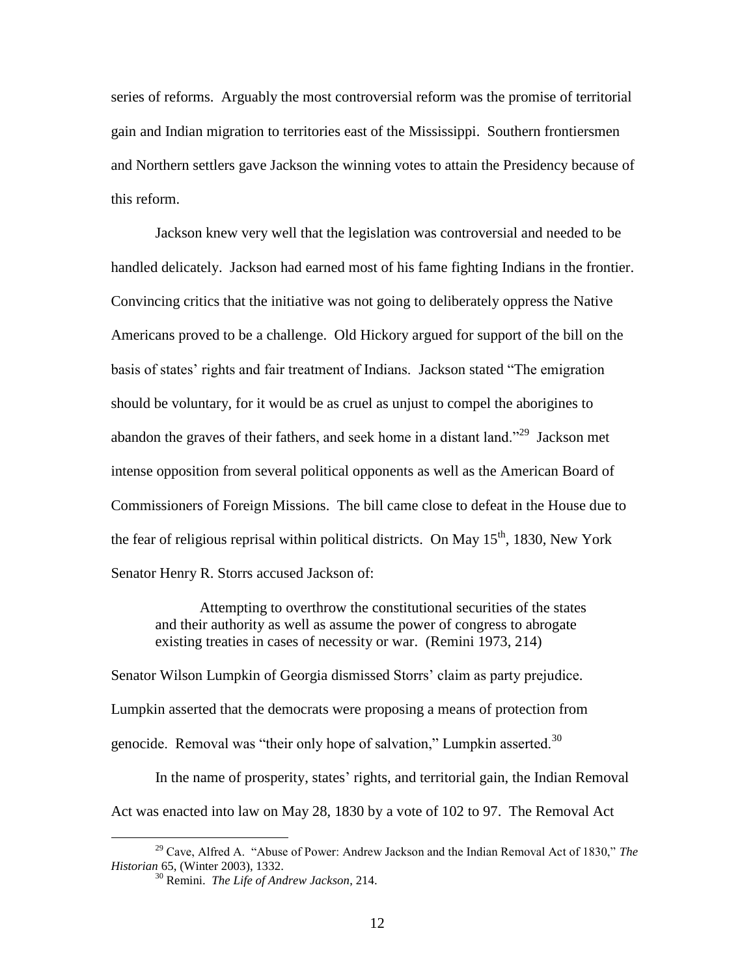series of reforms. Arguably the most controversial reform was the promise of territorial gain and Indian migration to territories east of the Mississippi. Southern frontiersmen and Northern settlers gave Jackson the winning votes to attain the Presidency because of this reform.

Jackson knew very well that the legislation was controversial and needed to be handled delicately. Jackson had earned most of his fame fighting Indians in the frontier. Convincing critics that the initiative was not going to deliberately oppress the Native Americans proved to be a challenge. Old Hickory argued for support of the bill on the basis of states" rights and fair treatment of Indians. Jackson stated "The emigration should be voluntary, for it would be as cruel as unjust to compel the aborigines to abandon the graves of their fathers, and seek home in a distant land."<sup>29</sup> Jackson met intense opposition from several political opponents as well as the American Board of Commissioners of Foreign Missions. The bill came close to defeat in the House due to the fear of religious reprisal within political districts. On May  $15<sup>th</sup>$ , 1830, New York Senator Henry R. Storrs accused Jackson of:

Attempting to overthrow the constitutional securities of the states and their authority as well as assume the power of congress to abrogate existing treaties in cases of necessity or war. (Remini 1973, 214)

Senator Wilson Lumpkin of Georgia dismissed Storrs' claim as party prejudice. Lumpkin asserted that the democrats were proposing a means of protection from genocide. Removal was "their only hope of salvation," Lumpkin asserted.<sup>30</sup>

In the name of prosperity, states' rights, and territorial gain, the Indian Removal Act was enacted into law on May 28, 1830 by a vote of 102 to 97. The Removal Act

<sup>29</sup> Cave, Alfred A. "Abuse of Power: Andrew Jackson and the Indian Removal Act of 1830," *The Historian* 65, (Winter 2003), 1332.

<sup>30</sup> Remini. *The Life of Andrew Jackson*, 214.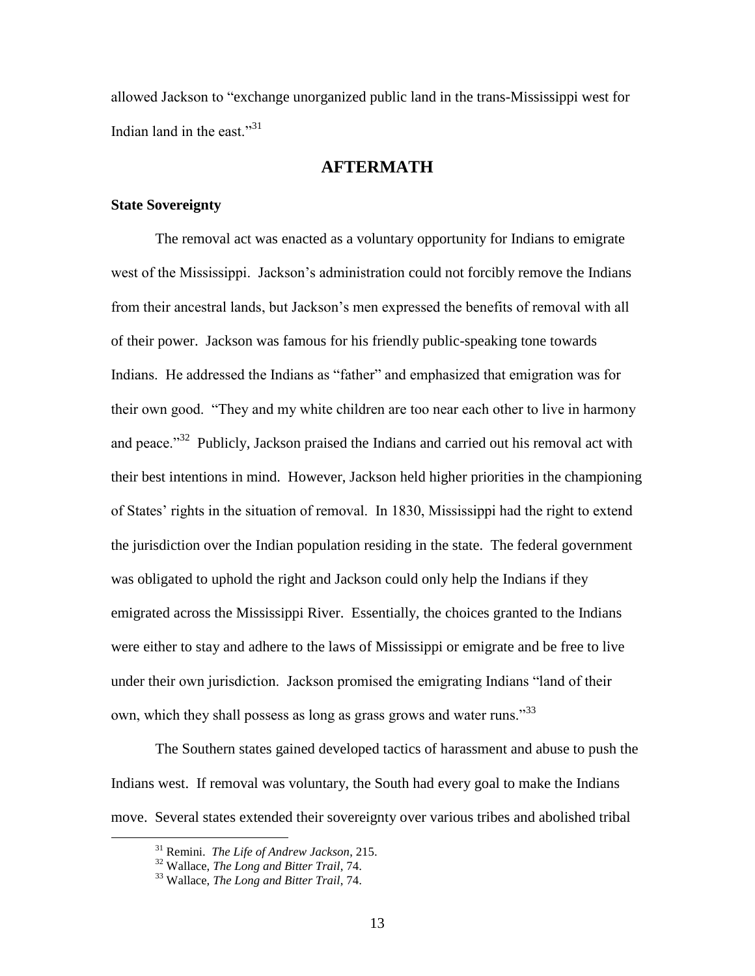allowed Jackson to "exchange unorganized public land in the trans-Mississippi west for Indian land in the east."<sup>31</sup>

# **AFTERMATH**

### **State Sovereignty**

The removal act was enacted as a voluntary opportunity for Indians to emigrate west of the Mississippi. Jackson's administration could not forcibly remove the Indians from their ancestral lands, but Jackson"s men expressed the benefits of removal with all of their power. Jackson was famous for his friendly public-speaking tone towards Indians. He addressed the Indians as "father" and emphasized that emigration was for their own good. "They and my white children are too near each other to live in harmony and peace."<sup>32</sup> Publicly, Jackson praised the Indians and carried out his removal act with their best intentions in mind. However, Jackson held higher priorities in the championing of States' rights in the situation of removal. In 1830, Mississippi had the right to extend the jurisdiction over the Indian population residing in the state. The federal government was obligated to uphold the right and Jackson could only help the Indians if they emigrated across the Mississippi River. Essentially, the choices granted to the Indians were either to stay and adhere to the laws of Mississippi or emigrate and be free to live under their own jurisdiction. Jackson promised the emigrating Indians "land of their own, which they shall possess as long as grass grows and water runs.<sup>33</sup>

The Southern states gained developed tactics of harassment and abuse to push the Indians west. If removal was voluntary, the South had every goal to make the Indians move. Several states extended their sovereignty over various tribes and abolished tribal

<sup>31</sup> Remini. *The Life of Andrew Jackson*, 215.

<sup>32</sup> Wallace, *The Long and Bitter Trail*, 74.

<sup>33</sup> Wallace, *The Long and Bitter Trail*, 74.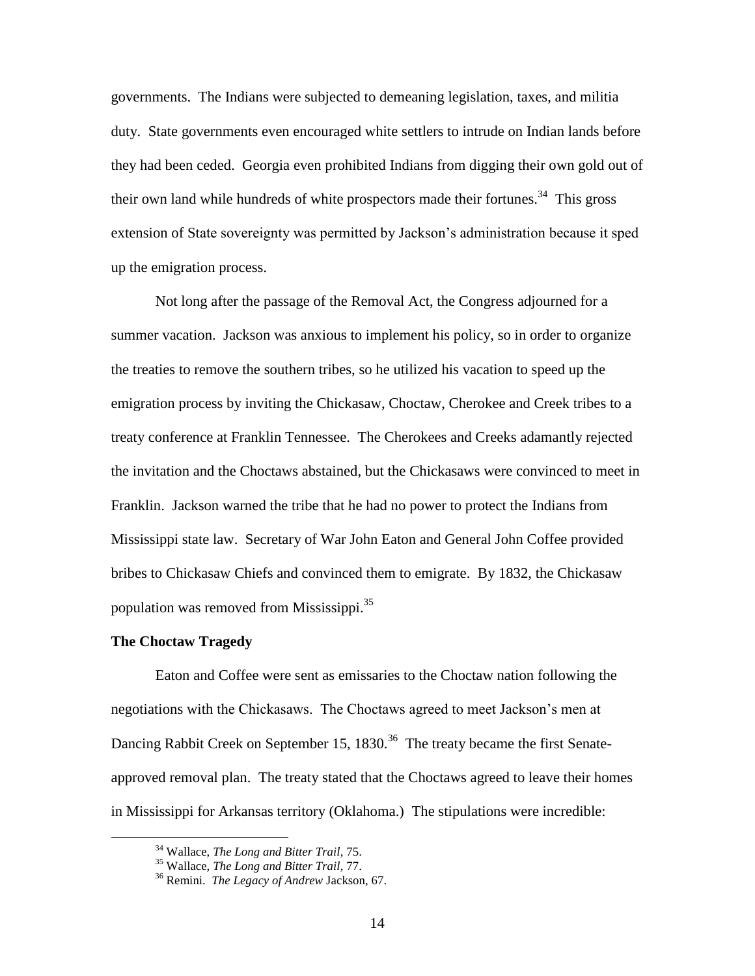governments. The Indians were subjected to demeaning legislation, taxes, and militia duty. State governments even encouraged white settlers to intrude on Indian lands before they had been ceded. Georgia even prohibited Indians from digging their own gold out of their own land while hundreds of white prospectors made their fortunes.<sup>34</sup> This gross extension of State sovereignty was permitted by Jackson"s administration because it sped up the emigration process.

Not long after the passage of the Removal Act, the Congress adjourned for a summer vacation. Jackson was anxious to implement his policy, so in order to organize the treaties to remove the southern tribes, so he utilized his vacation to speed up the emigration process by inviting the Chickasaw, Choctaw, Cherokee and Creek tribes to a treaty conference at Franklin Tennessee. The Cherokees and Creeks adamantly rejected the invitation and the Choctaws abstained, but the Chickasaws were convinced to meet in Franklin. Jackson warned the tribe that he had no power to protect the Indians from Mississippi state law. Secretary of War John Eaton and General John Coffee provided bribes to Chickasaw Chiefs and convinced them to emigrate. By 1832, the Chickasaw population was removed from Mississippi.<sup>35</sup>

#### **The Choctaw Tragedy**

 $\overline{a}$ 

Eaton and Coffee were sent as emissaries to the Choctaw nation following the negotiations with the Chickasaws. The Choctaws agreed to meet Jackson"s men at Dancing Rabbit Creek on September 15, 1830.<sup>36</sup> The treaty became the first Senateapproved removal plan. The treaty stated that the Choctaws agreed to leave their homes in Mississippi for Arkansas territory (Oklahoma.) The stipulations were incredible:

<sup>34</sup> Wallace, *The Long and Bitter Trail*, 75.

<sup>35</sup> Wallace, *The Long and Bitter Trail*, 77.

<sup>36</sup> Remini. *The Legacy of Andrew* Jackson, 67.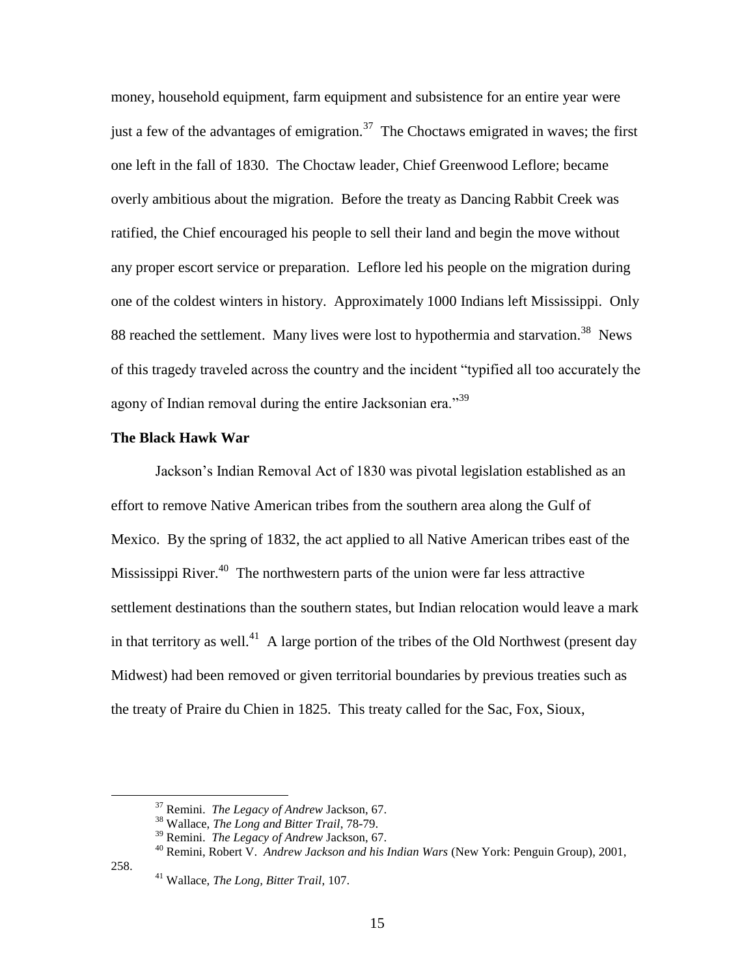money, household equipment, farm equipment and subsistence for an entire year were just a few of the advantages of emigration.<sup>37</sup> The Choctaws emigrated in waves; the first one left in the fall of 1830. The Choctaw leader, Chief Greenwood Leflore; became overly ambitious about the migration. Before the treaty as Dancing Rabbit Creek was ratified, the Chief encouraged his people to sell their land and begin the move without any proper escort service or preparation. Leflore led his people on the migration during one of the coldest winters in history. Approximately 1000 Indians left Mississippi. Only 88 reached the settlement. Many lives were lost to hypothermia and starvation.<sup>38</sup> News of this tragedy traveled across the country and the incident "typified all too accurately the agony of Indian removal during the entire Jacksonian era."<sup>39</sup>

#### **The Black Hawk War**

Jackson"s Indian Removal Act of 1830 was pivotal legislation established as an effort to remove Native American tribes from the southern area along the Gulf of Mexico. By the spring of 1832, the act applied to all Native American tribes east of the Mississippi River.<sup>40</sup> The northwestern parts of the union were far less attractive settlement destinations than the southern states, but Indian relocation would leave a mark in that territory as well.<sup>41</sup> A large portion of the tribes of the Old Northwest (present day Midwest) had been removed or given territorial boundaries by previous treaties such as the treaty of Praire du Chien in 1825. This treaty called for the Sac, Fox, Sioux,

258.

<sup>37</sup> Remini. *The Legacy of Andrew* Jackson, 67.

<sup>38</sup> Wallace, *The Long and Bitter Trail*, 78-79.

<sup>39</sup> Remini. *The Legacy of Andrew* Jackson, 67.

<sup>40</sup> Remini, Robert V. *Andrew Jackson and his Indian Wars* (New York: Penguin Group), 2001,

<sup>41</sup> Wallace, *The Long, Bitter Trail*, 107.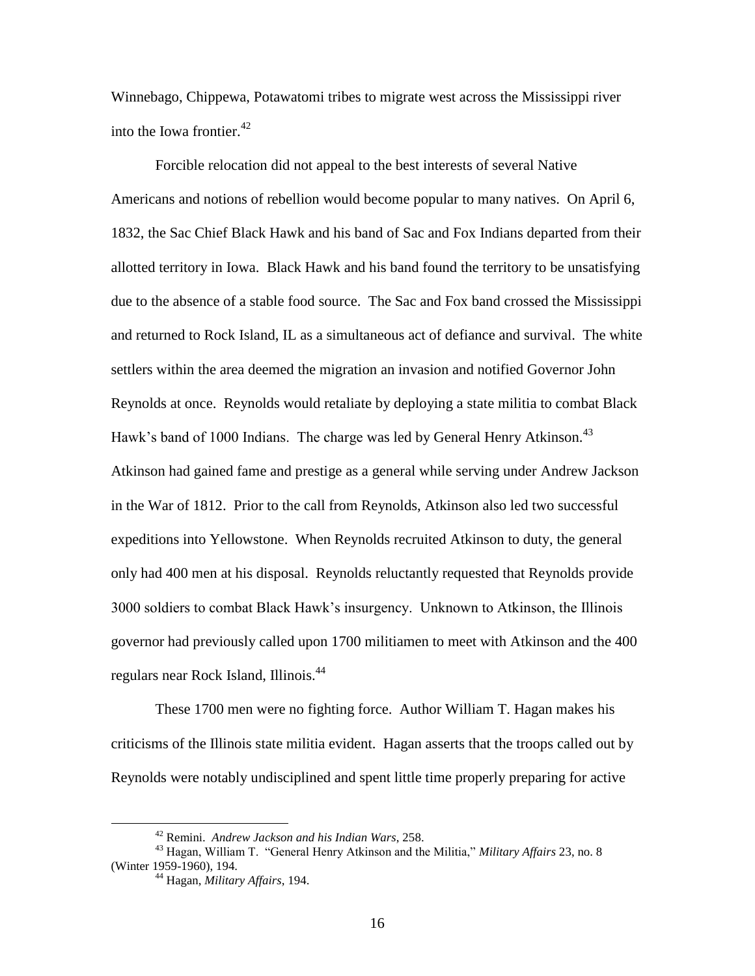Winnebago, Chippewa, Potawatomi tribes to migrate west across the Mississippi river into the Iowa frontier.<sup>42</sup>

Forcible relocation did not appeal to the best interests of several Native Americans and notions of rebellion would become popular to many natives. On April 6, 1832, the Sac Chief Black Hawk and his band of Sac and Fox Indians departed from their allotted territory in Iowa. Black Hawk and his band found the territory to be unsatisfying due to the absence of a stable food source. The Sac and Fox band crossed the Mississippi and returned to Rock Island, IL as a simultaneous act of defiance and survival. The white settlers within the area deemed the migration an invasion and notified Governor John Reynolds at once. Reynolds would retaliate by deploying a state militia to combat Black Hawk's band of 1000 Indians. The charge was led by General Henry Atkinson.<sup>43</sup> Atkinson had gained fame and prestige as a general while serving under Andrew Jackson in the War of 1812. Prior to the call from Reynolds, Atkinson also led two successful expeditions into Yellowstone. When Reynolds recruited Atkinson to duty, the general only had 400 men at his disposal. Reynolds reluctantly requested that Reynolds provide 3000 soldiers to combat Black Hawk"s insurgency. Unknown to Atkinson, the Illinois governor had previously called upon 1700 militiamen to meet with Atkinson and the 400 regulars near Rock Island, Illinois. 44

These 1700 men were no fighting force. Author William T. Hagan makes his criticisms of the Illinois state militia evident. Hagan asserts that the troops called out by Reynolds were notably undisciplined and spent little time properly preparing for active

<sup>42</sup> Remini. *Andrew Jackson and his Indian Wars*, 258.

<sup>43</sup> Hagan, William T. "General Henry Atkinson and the Militia," *Military Affairs* 23, no. 8 (Winter 1959-1960), 194.

<sup>44</sup> Hagan, *Military Affairs*, 194.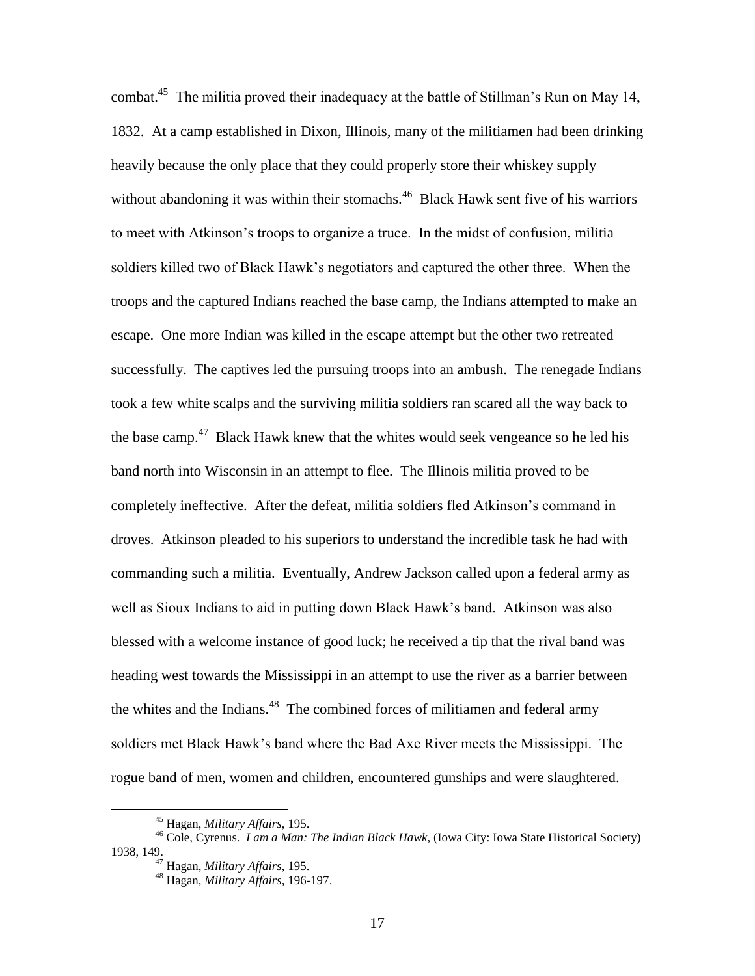combat.<sup>45</sup> The militia proved their inadequacy at the battle of Stillman's Run on May 14, 1832. At a camp established in Dixon, Illinois, many of the militiamen had been drinking heavily because the only place that they could properly store their whiskey supply without abandoning it was within their stomachs.<sup>46</sup> Black Hawk sent five of his warriors to meet with Atkinson"s troops to organize a truce. In the midst of confusion, militia soldiers killed two of Black Hawk"s negotiators and captured the other three. When the troops and the captured Indians reached the base camp, the Indians attempted to make an escape. One more Indian was killed in the escape attempt but the other two retreated successfully. The captives led the pursuing troops into an ambush. The renegade Indians took a few white scalps and the surviving militia soldiers ran scared all the way back to the base camp. $47$  Black Hawk knew that the whites would seek vengeance so he led his band north into Wisconsin in an attempt to flee. The Illinois militia proved to be completely ineffective. After the defeat, militia soldiers fled Atkinson"s command in droves. Atkinson pleaded to his superiors to understand the incredible task he had with commanding such a militia. Eventually, Andrew Jackson called upon a federal army as well as Sioux Indians to aid in putting down Black Hawk"s band. Atkinson was also blessed with a welcome instance of good luck; he received a tip that the rival band was heading west towards the Mississippi in an attempt to use the river as a barrier between the whites and the Indians.<sup>48</sup> The combined forces of militiamen and federal army soldiers met Black Hawk"s band where the Bad Axe River meets the Mississippi. The rogue band of men, women and children, encountered gunships and were slaughtered.

<sup>45</sup> Hagan, *Military Affairs*, 195.

<sup>46</sup> Cole, Cyrenus. *I am a Man: The Indian Black Hawk*, (Iowa City: Iowa State Historical Society) 1938, 149.

<sup>47</sup> Hagan, *Military Affairs*, 195.

<sup>48</sup> Hagan, *Military Affairs*, 196-197.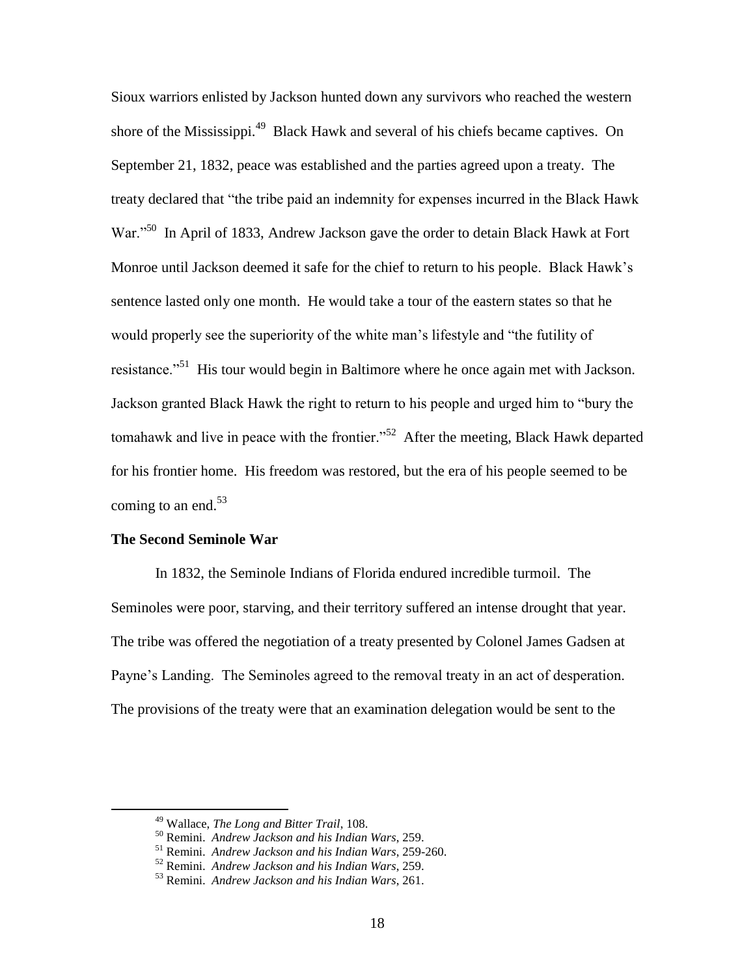Sioux warriors enlisted by Jackson hunted down any survivors who reached the western shore of the Mississippi.<sup>49</sup> Black Hawk and several of his chiefs became captives. On September 21, 1832, peace was established and the parties agreed upon a treaty. The treaty declared that "the tribe paid an indemnity for expenses incurred in the Black Hawk War."<sup>50</sup> In April of 1833, Andrew Jackson gave the order to detain Black Hawk at Fort Monroe until Jackson deemed it safe for the chief to return to his people. Black Hawk"s sentence lasted only one month. He would take a tour of the eastern states so that he would properly see the superiority of the white man"s lifestyle and "the futility of resistance."<sup>51</sup> His tour would begin in Baltimore where he once again met with Jackson. Jackson granted Black Hawk the right to return to his people and urged him to "bury the tomahawk and live in peace with the frontier."<sup>52</sup> After the meeting, Black Hawk departed for his frontier home. His freedom was restored, but the era of his people seemed to be coming to an end. $53$ 

#### **The Second Seminole War**

 $\overline{a}$ 

In 1832, the Seminole Indians of Florida endured incredible turmoil. The Seminoles were poor, starving, and their territory suffered an intense drought that year. The tribe was offered the negotiation of a treaty presented by Colonel James Gadsen at Payne's Landing. The Seminoles agreed to the removal treaty in an act of desperation. The provisions of the treaty were that an examination delegation would be sent to the

<sup>49</sup> Wallace, *The Long and Bitter Trail*, 108.

<sup>50</sup> Remini. *Andrew Jackson and his Indian Wars*, 259.

<sup>51</sup> Remini. *Andrew Jackson and his Indian Wars*, 259-260.

<sup>52</sup> Remini. *Andrew Jackson and his Indian Wars*, 259.

<sup>53</sup> Remini. *Andrew Jackson and his Indian Wars*, 261.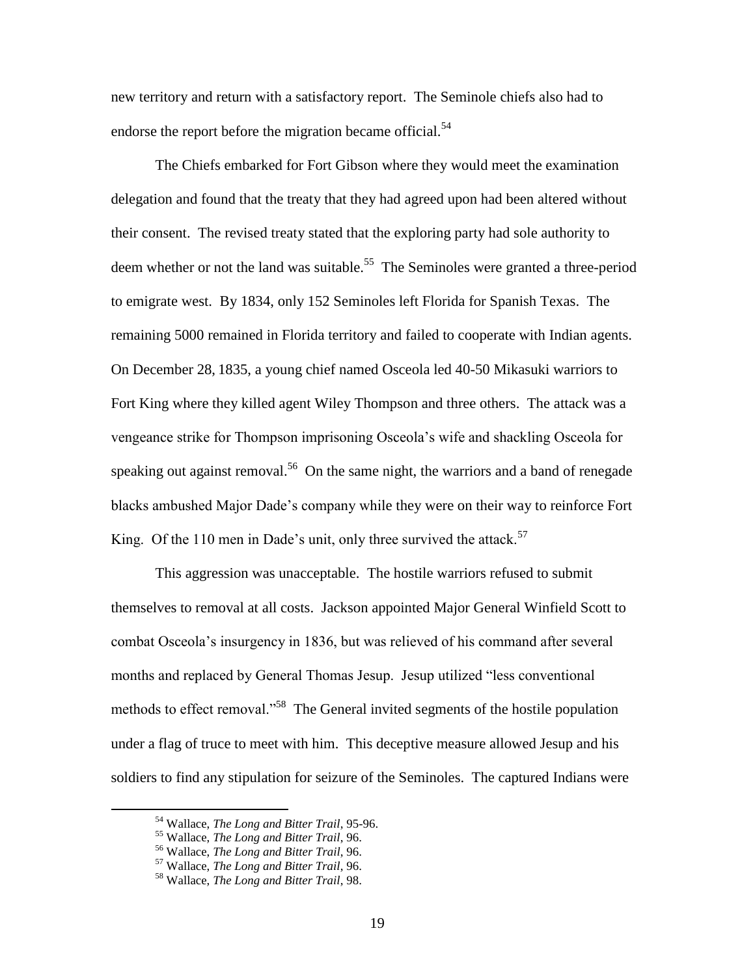new territory and return with a satisfactory report. The Seminole chiefs also had to endorse the report before the migration became official.<sup>54</sup>

The Chiefs embarked for Fort Gibson where they would meet the examination delegation and found that the treaty that they had agreed upon had been altered without their consent. The revised treaty stated that the exploring party had sole authority to deem whether or not the land was suitable.<sup>55</sup> The Seminoles were granted a three-period to emigrate west. By 1834, only 152 Seminoles left Florida for Spanish Texas. The remaining 5000 remained in Florida territory and failed to cooperate with Indian agents. On December 28, 1835, a young chief named Osceola led 40-50 Mikasuki warriors to Fort King where they killed agent Wiley Thompson and three others. The attack was a vengeance strike for Thompson imprisoning Osceola"s wife and shackling Osceola for speaking out against removal.<sup>56</sup> On the same night, the warriors and a band of renegade blacks ambushed Major Dade"s company while they were on their way to reinforce Fort King. Of the 110 men in Dade's unit, only three survived the attack.<sup>57</sup>

This aggression was unacceptable. The hostile warriors refused to submit themselves to removal at all costs. Jackson appointed Major General Winfield Scott to combat Osceola"s insurgency in 1836, but was relieved of his command after several months and replaced by General Thomas Jesup. Jesup utilized "less conventional methods to effect removal."<sup>58</sup> The General invited segments of the hostile population under a flag of truce to meet with him. This deceptive measure allowed Jesup and his soldiers to find any stipulation for seizure of the Seminoles. The captured Indians were

<sup>54</sup> Wallace, *The Long and Bitter Trail*, 95-96.

<sup>55</sup> Wallace, *The Long and Bitter Trail*, 96.

<sup>56</sup> Wallace, *The Long and Bitter Trail*, 96.

<sup>57</sup> Wallace, *The Long and Bitter Trail*, 96.

<sup>58</sup> Wallace, *The Long and Bitter Trail*, 98.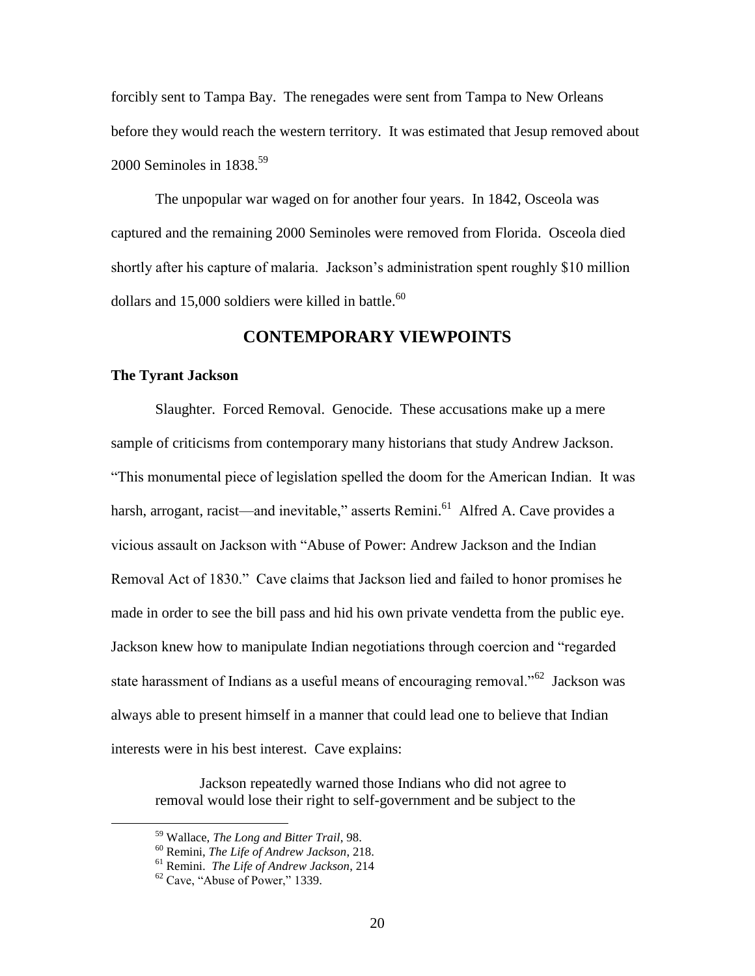forcibly sent to Tampa Bay. The renegades were sent from Tampa to New Orleans before they would reach the western territory. It was estimated that Jesup removed about 2000 Seminoles in  $1838^{59}$ 

The unpopular war waged on for another four years. In 1842, Osceola was captured and the remaining 2000 Seminoles were removed from Florida. Osceola died shortly after his capture of malaria. Jackson's administration spent roughly \$10 million dollars and 15,000 soldiers were killed in battle. $^{60}$ 

# **CONTEMPORARY VIEWPOINTS**

#### **The Tyrant Jackson**

Slaughter. Forced Removal. Genocide. These accusations make up a mere sample of criticisms from contemporary many historians that study Andrew Jackson. "This monumental piece of legislation spelled the doom for the American Indian. It was harsh, arrogant, racist—and inevitable," asserts Remini.<sup>61</sup> Alfred A. Cave provides a vicious assault on Jackson with "Abuse of Power: Andrew Jackson and the Indian Removal Act of 1830." Cave claims that Jackson lied and failed to honor promises he made in order to see the bill pass and hid his own private vendetta from the public eye. Jackson knew how to manipulate Indian negotiations through coercion and "regarded state harassment of Indians as a useful means of encouraging removal."<sup>62</sup> Jackson was always able to present himself in a manner that could lead one to believe that Indian interests were in his best interest. Cave explains:

Jackson repeatedly warned those Indians who did not agree to removal would lose their right to self-government and be subject to the

<sup>59</sup> Wallace, *The Long and Bitter Trail*, 98.

<sup>60</sup> Remini, *The Life of Andrew Jackson*, 218.

<sup>61</sup> Remini. *The Life of Andrew Jackson*, 214

 $62$  Cave, "Abuse of Power," 1339.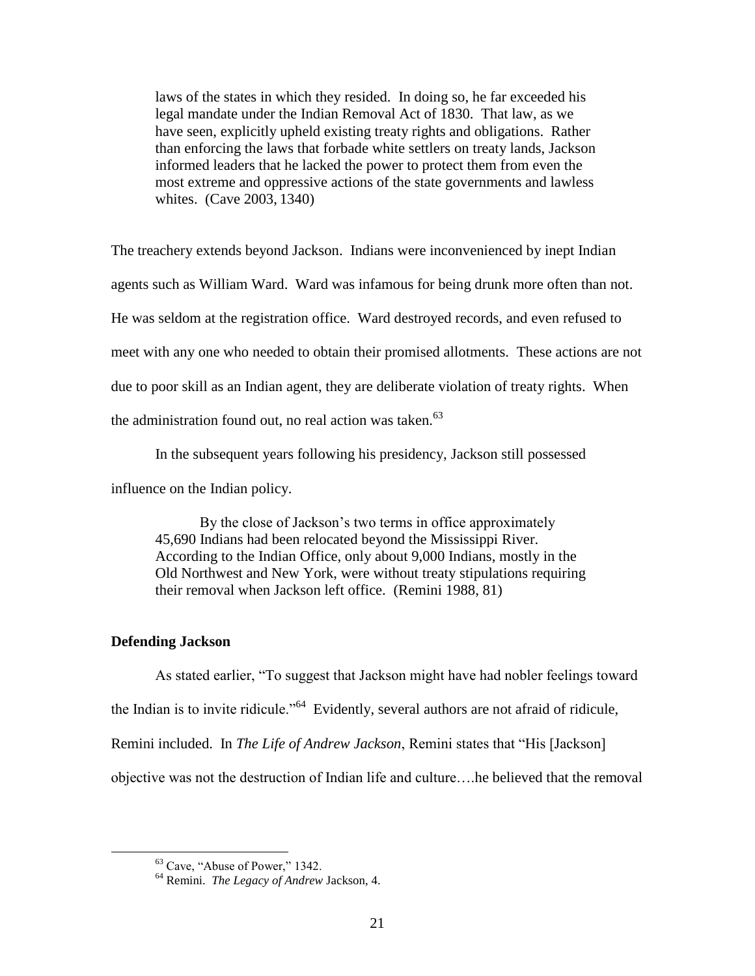laws of the states in which they resided. In doing so, he far exceeded his legal mandate under the Indian Removal Act of 1830. That law, as we have seen, explicitly upheld existing treaty rights and obligations. Rather than enforcing the laws that forbade white settlers on treaty lands, Jackson informed leaders that he lacked the power to protect them from even the most extreme and oppressive actions of the state governments and lawless whites. (Cave 2003, 1340)

The treachery extends beyond Jackson. Indians were inconvenienced by inept Indian agents such as William Ward. Ward was infamous for being drunk more often than not. He was seldom at the registration office. Ward destroyed records, and even refused to meet with any one who needed to obtain their promised allotments. These actions are not due to poor skill as an Indian agent, they are deliberate violation of treaty rights. When the administration found out, no real action was taken. $63$ 

In the subsequent years following his presidency, Jackson still possessed

influence on the Indian policy.

By the close of Jackson's two terms in office approximately 45,690 Indians had been relocated beyond the Mississippi River. According to the Indian Office, only about 9,000 Indians, mostly in the Old Northwest and New York, were without treaty stipulations requiring their removal when Jackson left office. (Remini 1988, 81)

## **Defending Jackson**

 $\overline{a}$ 

As stated earlier, "To suggest that Jackson might have had nobler feelings toward the Indian is to invite ridicule."<sup>64</sup> Evidently, several authors are not afraid of ridicule, Remini included. In *The Life of Andrew Jackson*, Remini states that "His [Jackson] objective was not the destruction of Indian life and culture….he believed that the removal

<sup>63</sup> Cave, "Abuse of Power," 1342.

<sup>64</sup> Remini. *The Legacy of Andrew* Jackson, 4.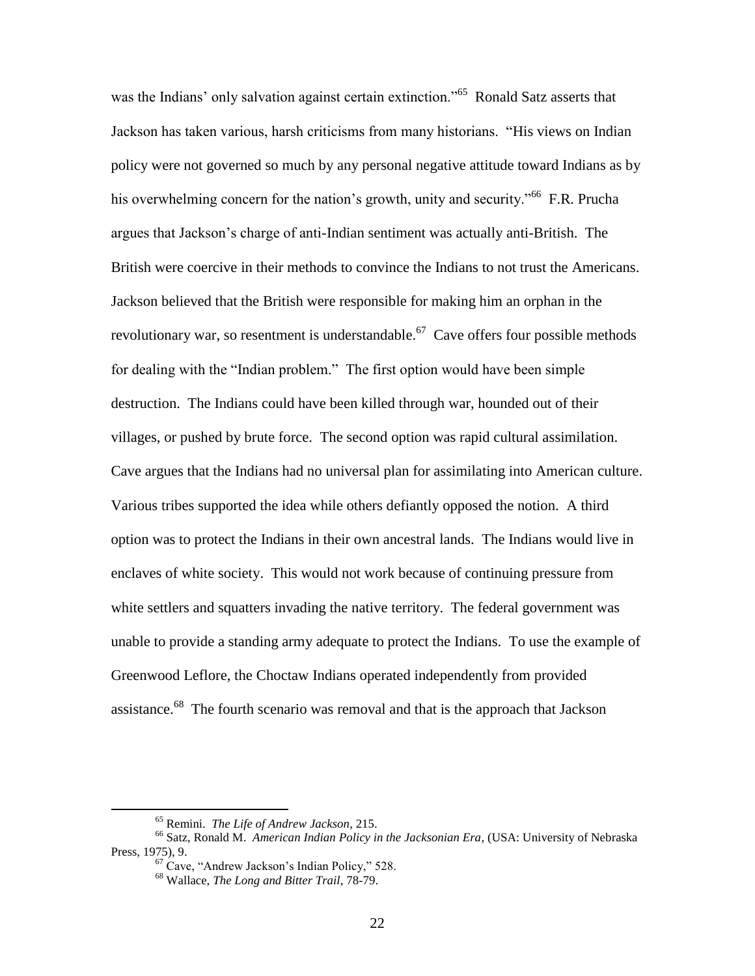was the Indians' only salvation against certain extinction."<sup>65</sup> Ronald Satz asserts that Jackson has taken various, harsh criticisms from many historians. "His views on Indian policy were not governed so much by any personal negative attitude toward Indians as by his overwhelming concern for the nation's growth, unity and security."<sup>66</sup> F.R. Prucha argues that Jackson"s charge of anti-Indian sentiment was actually anti-British. The British were coercive in their methods to convince the Indians to not trust the Americans. Jackson believed that the British were responsible for making him an orphan in the revolutionary war, so resentment is understandable.<sup>67</sup> Cave offers four possible methods for dealing with the "Indian problem." The first option would have been simple destruction. The Indians could have been killed through war, hounded out of their villages, or pushed by brute force. The second option was rapid cultural assimilation. Cave argues that the Indians had no universal plan for assimilating into American culture. Various tribes supported the idea while others defiantly opposed the notion. A third option was to protect the Indians in their own ancestral lands. The Indians would live in enclaves of white society. This would not work because of continuing pressure from white settlers and squatters invading the native territory. The federal government was unable to provide a standing army adequate to protect the Indians. To use the example of Greenwood Leflore, the Choctaw Indians operated independently from provided assistance.<sup>68</sup> The fourth scenario was removal and that is the approach that Jackson

<sup>65</sup> Remini. *The Life of Andrew Jackson*, 215.

<sup>66</sup> Satz, Ronald M. *American Indian Policy in the Jacksonian Era*, (USA: University of Nebraska Press, 1975), 9.

 $67$  Cave, "Andrew Jackson's Indian Policy," 528.

<sup>68</sup> Wallace, *The Long and Bitter Trail*, 78-79.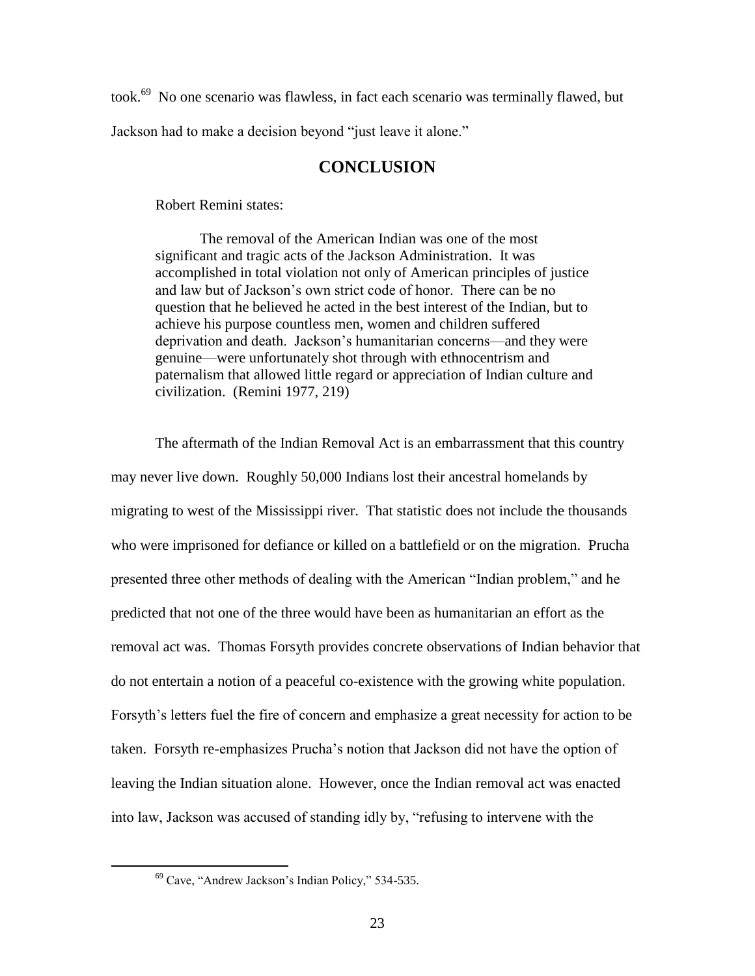took.<sup>69</sup> No one scenario was flawless, in fact each scenario was terminally flawed, but Jackson had to make a decision beyond "just leave it alone."

# **CONCLUSION**

Robert Remini states:

The removal of the American Indian was one of the most significant and tragic acts of the Jackson Administration. It was accomplished in total violation not only of American principles of justice and law but of Jackson"s own strict code of honor. There can be no question that he believed he acted in the best interest of the Indian, but to achieve his purpose countless men, women and children suffered deprivation and death. Jackson"s humanitarian concerns—and they were genuine—were unfortunately shot through with ethnocentrism and paternalism that allowed little regard or appreciation of Indian culture and civilization. (Remini 1977, 219)

The aftermath of the Indian Removal Act is an embarrassment that this country may never live down. Roughly 50,000 Indians lost their ancestral homelands by migrating to west of the Mississippi river. That statistic does not include the thousands who were imprisoned for defiance or killed on a battlefield or on the migration. Prucha presented three other methods of dealing with the American "Indian problem," and he predicted that not one of the three would have been as humanitarian an effort as the removal act was. Thomas Forsyth provides concrete observations of Indian behavior that do not entertain a notion of a peaceful co-existence with the growing white population. Forsyth"s letters fuel the fire of concern and emphasize a great necessity for action to be taken. Forsyth re-emphasizes Prucha"s notion that Jackson did not have the option of leaving the Indian situation alone. However, once the Indian removal act was enacted into law, Jackson was accused of standing idly by, "refusing to intervene with the

<sup>&</sup>lt;sup>69</sup> Cave, "Andrew Jackson's Indian Policy," 534-535.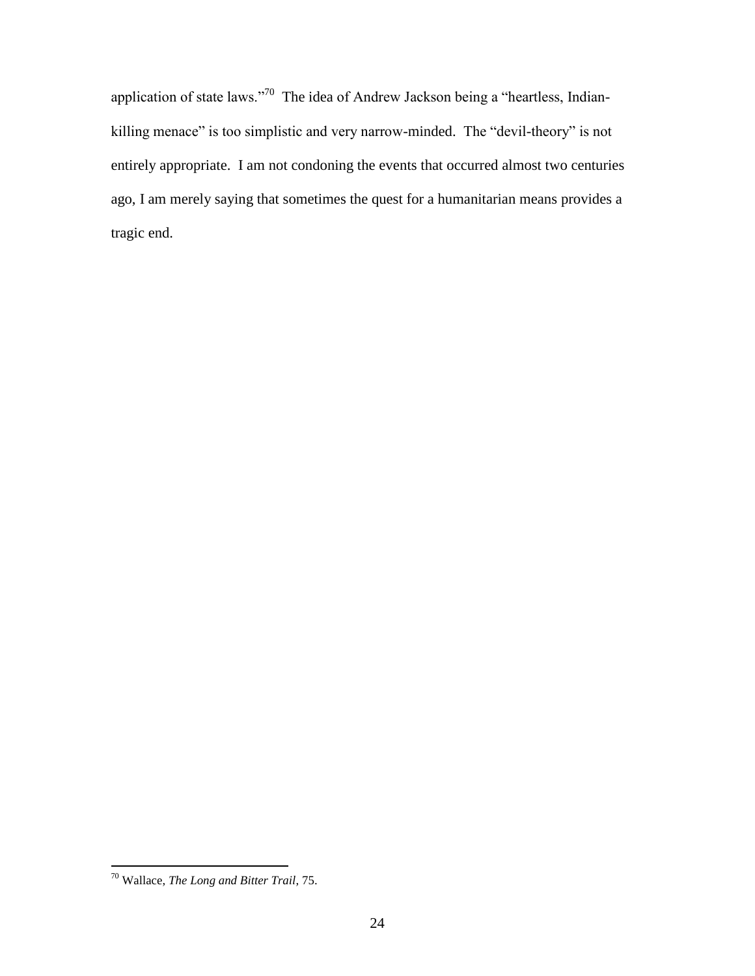application of state laws."<sup>70</sup> The idea of Andrew Jackson being a "heartless, Indiankilling menace" is too simplistic and very narrow-minded. The "devil-theory" is not entirely appropriate. I am not condoning the events that occurred almost two centuries ago, I am merely saying that sometimes the quest for a humanitarian means provides a tragic end.

<sup>70</sup> Wallace, *The Long and Bitter Trail*, 75.